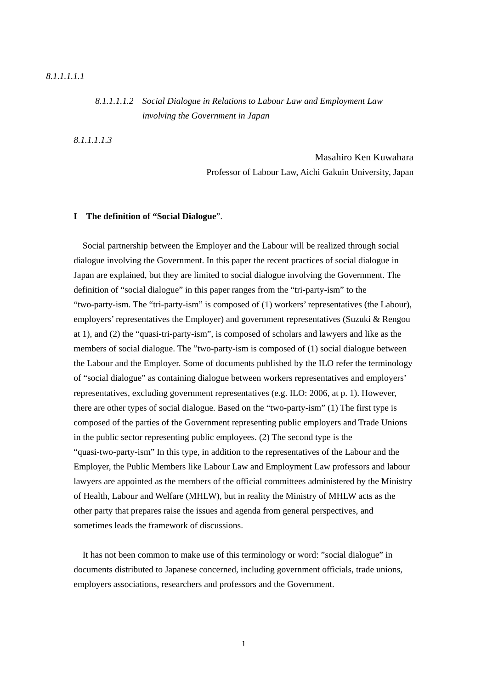### *8.1.1.1.1.2 Social Dialogue in Relations to Labour Law and Employment Law involving the Government in Japan*

*8.1.1.1.1.3*

 Masahiro Ken Kuwahara Professor of Labour Law, Aichi Gakuin University, Japan

#### **I The definition of "Social Dialogue**".

Social partnership between the Employer and the Labour will be realized through social dialogue involving the Government. In this paper the recent practices of social dialogue in Japan are explained, but they are limited to social dialogue involving the Government. The definition of "social dialogue" in this paper ranges from the "tri-party-ism" to the "two-party-ism. The "tri-party-ism" is composed of (1) workers' representatives (the Labour), employers' representatives the Employer) and government representatives (Suzuki & Rengou at 1), and (2) the "quasi-tri-party-ism", is composed of scholars and lawyers and like as the members of social dialogue. The "two-party-ism is composed of (1) social dialogue between the Labour and the Employer. Some of documents published by the ILO refer the terminology of "social dialogue" as containing dialogue between workers representatives and employers' representatives, excluding government representatives (e.g. ILO: 2006, at p. 1). However, there are other types of social dialogue. Based on the "two-party-ism" (1) The first type is composed of the parties of the Government representing public employers and Trade Unions in the public sector representing public employees. (2) The second type is the "quasi-two-party-ism" In this type, in addition to the representatives of the Labour and the Employer, the Public Members like Labour Law and Employment Law professors and labour lawyers are appointed as the members of the official committees administered by the Ministry of Health, Labour and Welfare (MHLW), but in reality the Ministry of MHLW acts as the other party that prepares raise the issues and agenda from general perspectives, and sometimes leads the framework of discussions.

It has not been common to make use of this terminology or word: "social dialogue" in documents distributed to Japanese concerned, including government officials, trade unions, employers associations, researchers and professors and the Government.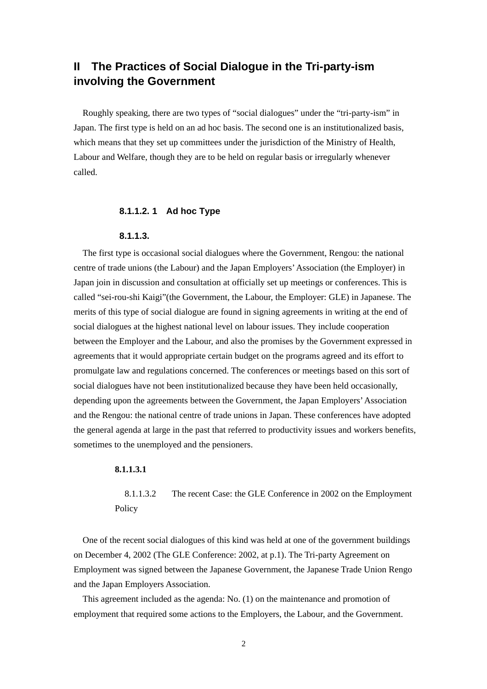# **II The Practices of Social Dialogue in the Tri-party-ism involving the Government**

Roughly speaking, there are two types of "social dialogues" under the "tri-party-ism" in Japan. The first type is held on an ad hoc basis. The second one is an institutionalized basis, which means that they set up committees under the jurisdiction of the Ministry of Health, Labour and Welfare, though they are to be held on regular basis or irregularly whenever called.

### **8.1.1.2. 1 Ad hoc Type**

#### **8.1.1.3.**

The first type is occasional social dialogues where the Government, Rengou: the national centre of trade unions (the Labour) and the Japan Employers' Association (the Employer) in Japan join in discussion and consultation at officially set up meetings or conferences. This is called "sei-rou-shi Kaigi"(the Government, the Labour, the Employer: GLE) in Japanese. The merits of this type of social dialogue are found in signing agreements in writing at the end of social dialogues at the highest national level on labour issues. They include cooperation between the Employer and the Labour, and also the promises by the Government expressed in agreements that it would appropriate certain budget on the programs agreed and its effort to promulgate law and regulations concerned. The conferences or meetings based on this sort of social dialogues have not been institutionalized because they have been held occasionally, depending upon the agreements between the Government, the Japan Employers' Association and the Rengou: the national centre of trade unions in Japan. These conferences have adopted the general agenda at large in the past that referred to productivity issues and workers benefits, sometimes to the unemployed and the pensioners.

### **8.1.1.3.1**

8.1.1.3.2 The recent Case: the GLE Conference in 2002 on the Employment Policy

One of the recent social dialogues of this kind was held at one of the government buildings on December 4, 2002 (The GLE Conference: 2002, at p.1). The Tri-party Agreement on Employment was signed between the Japanese Government, the Japanese Trade Union Rengo and the Japan Employers Association.

This agreement included as the agenda: No. (1) on the maintenance and promotion of employment that required some actions to the Employers, the Labour, and the Government.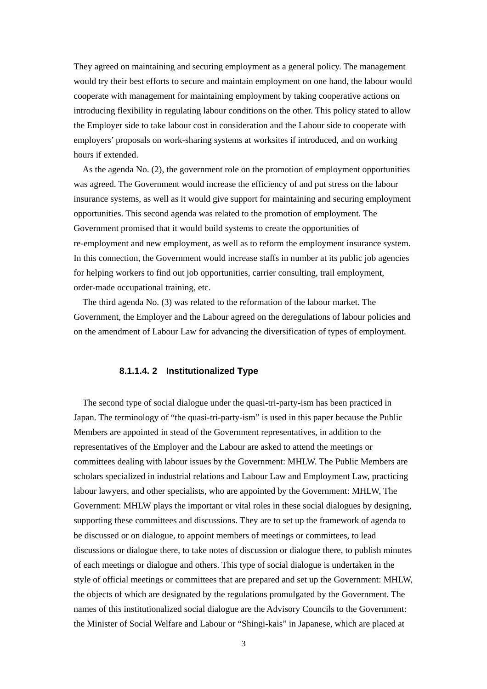They agreed on maintaining and securing employment as a general policy. The management would try their best efforts to secure and maintain employment on one hand, the labour would cooperate with management for maintaining employment by taking cooperative actions on introducing flexibility in regulating labour conditions on the other. This policy stated to allow the Employer side to take labour cost in consideration and the Labour side to cooperate with employers' proposals on work-sharing systems at worksites if introduced, and on working hours if extended.

As the agenda No. (2), the government role on the promotion of employment opportunities was agreed. The Government would increase the efficiency of and put stress on the labour insurance systems, as well as it would give support for maintaining and securing employment opportunities. This second agenda was related to the promotion of employment. The Government promised that it would build systems to create the opportunities of re-employment and new employment, as well as to reform the employment insurance system. In this connection, the Government would increase staffs in number at its public job agencies for helping workers to find out job opportunities, carrier consulting, trail employment, order-made occupational training, etc.

The third agenda No. (3) was related to the reformation of the labour market. The Government, the Employer and the Labour agreed on the deregulations of labour policies and on the amendment of Labour Law for advancing the diversification of types of employment.

### **8.1.1.4. 2 Institutionalized Type**

The second type of social dialogue under the quasi-tri-party-ism has been practiced in Japan. The terminology of "the quasi-tri-party-ism" is used in this paper because the Public Members are appointed in stead of the Government representatives, in addition to the representatives of the Employer and the Labour are asked to attend the meetings or committees dealing with labour issues by the Government: MHLW. The Public Members are scholars specialized in industrial relations and Labour Law and Employment Law, practicing labour lawyers, and other specialists, who are appointed by the Government: MHLW, The Government: MHLW plays the important or vital roles in these social dialogues by designing, supporting these committees and discussions. They are to set up the framework of agenda to be discussed or on dialogue, to appoint members of meetings or committees, to lead discussions or dialogue there, to take notes of discussion or dialogue there, to publish minutes of each meetings or dialogue and others. This type of social dialogue is undertaken in the style of official meetings or committees that are prepared and set up the Government: MHLW, the objects of which are designated by the regulations promulgated by the Government. The names of this institutionalized social dialogue are the Advisory Councils to the Government: the Minister of Social Welfare and Labour or "Shingi-kais" in Japanese, which are placed at

3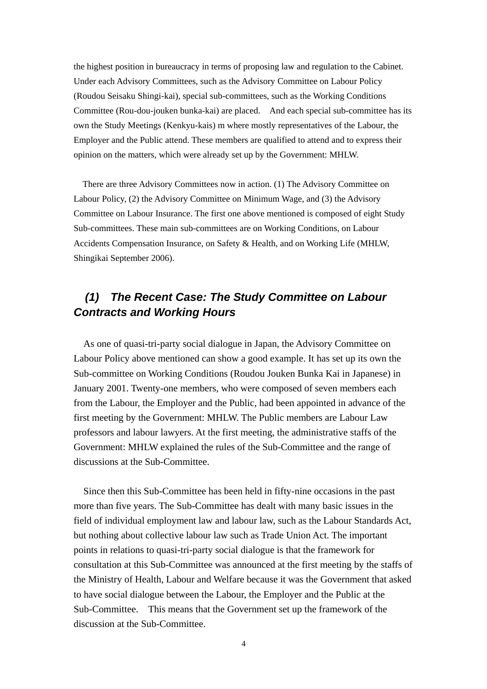the highest position in bureaucracy in terms of proposing law and regulation to the Cabinet. Under each Advisory Committees, such as the Advisory Committee on Labour Policy (Roudou Seisaku Shingi-kai), special sub-committees, such as the Working Conditions Committee (Rou-dou-jouken bunka-kai) are placed. And each special sub-committee has its own the Study Meetings (Kenkyu-kais) m where mostly representatives of the Labour, the Employer and the Public attend. These members are qualified to attend and to express their opinion on the matters, which were already set up by the Government: MHLW.

There are three Advisory Committees now in action. (1) The Advisory Committee on Labour Policy, (2) the Advisory Committee on Minimum Wage, and (3) the Advisory Committee on Labour Insurance. The first one above mentioned is composed of eight Study Sub-committees. These main sub-committees are on Working Conditions, on Labour Accidents Compensation Insurance, on Safety & Health, and on Working Life (MHLW, Shingikai September 2006).

# *(1) The Recent Case: The Study Committee on Labour Contracts and Working Hours*

As one of quasi-tri-party social dialogue in Japan, the Advisory Committee on Labour Policy above mentioned can show a good example. It has set up its own the Sub-committee on Working Conditions (Roudou Jouken Bunka Kai in Japanese) in January 2001. Twenty-one members, who were composed of seven members each from the Labour, the Employer and the Public, had been appointed in advance of the first meeting by the Government: MHLW. The Public members are Labour Law professors and labour lawyers. At the first meeting, the administrative staffs of the Government: MHLW explained the rules of the Sub-Committee and the range of discussions at the Sub-Committee.

Since then this Sub-Committee has been held in fifty-nine occasions in the past more than five years. The Sub-Committee has dealt with many basic issues in the field of individual employment law and labour law, such as the Labour Standards Act, but nothing about collective labour law such as Trade Union Act. The important points in relations to quasi-tri-party social dialogue is that the framework for consultation at this Sub-Committee was announced at the first meeting by the staffs of the Ministry of Health, Labour and Welfare because it was the Government that asked to have social dialogue between the Labour, the Employer and the Public at the Sub-Committee. This means that the Government set up the framework of the discussion at the Sub-Committee.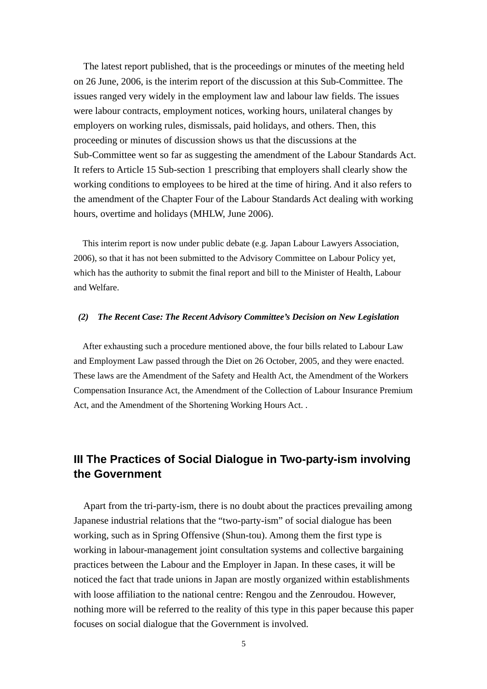The latest report published, that is the proceedings or minutes of the meeting held on 26 June, 2006, is the interim report of the discussion at this Sub-Committee. The issues ranged very widely in the employment law and labour law fields. The issues were labour contracts, employment notices, working hours, unilateral changes by employers on working rules, dismissals, paid holidays, and others. Then, this proceeding or minutes of discussion shows us that the discussions at the Sub-Committee went so far as suggesting the amendment of the Labour Standards Act. It refers to Article 15 Sub-section 1 prescribing that employers shall clearly show the working conditions to employees to be hired at the time of hiring. And it also refers to the amendment of the Chapter Four of the Labour Standards Act dealing with working hours, overtime and holidays (MHLW, June 2006).

This interim report is now under public debate (e.g. Japan Labour Lawyers Association, 2006), so that it has not been submitted to the Advisory Committee on Labour Policy yet, which has the authority to submit the final report and bill to the Minister of Health, Labour and Welfare.

### *(2) The Recent Case: The Recent Advisory Committee's Decision on New Legislation*

After exhausting such a procedure mentioned above, the four bills related to Labour Law and Employment Law passed through the Diet on 26 October, 2005, and they were enacted. These laws are the Amendment of the Safety and Health Act, the Amendment of the Workers Compensation Insurance Act, the Amendment of the Collection of Labour Insurance Premium Act, and the Amendment of the Shortening Working Hours Act. .

# **III The Practices of Social Dialogue in Two-party-ism involving the Government**

Apart from the tri-party-ism, there is no doubt about the practices prevailing among Japanese industrial relations that the "two-party-ism" of social dialogue has been working, such as in Spring Offensive (Shun-tou). Among them the first type is working in labour-management joint consultation systems and collective bargaining practices between the Labour and the Employer in Japan. In these cases, it will be noticed the fact that trade unions in Japan are mostly organized within establishments with loose affiliation to the national centre: Rengou and the Zenroudou. However, nothing more will be referred to the reality of this type in this paper because this paper focuses on social dialogue that the Government is involved.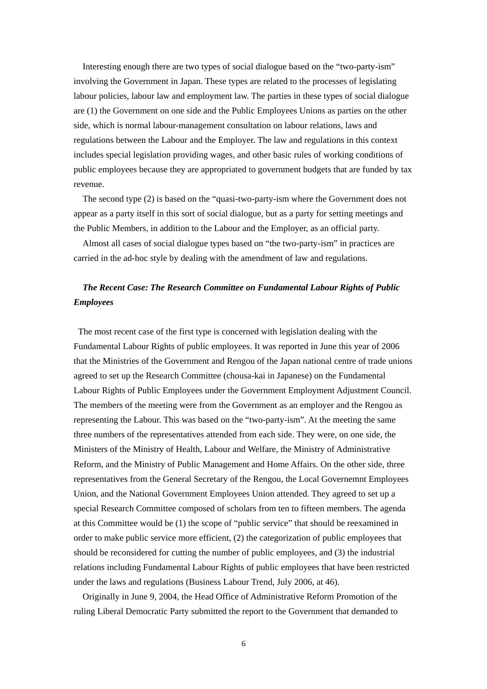Interesting enough there are two types of social dialogue based on the "two-party-ism" involving the Government in Japan. These types are related to the processes of legislating labour policies, labour law and employment law. The parties in these types of social dialogue are (1) the Government on one side and the Public Employees Unions as parties on the other side, which is normal labour-management consultation on labour relations, laws and regulations between the Labour and the Employer. The law and regulations in this context includes special legislation providing wages, and other basic rules of working conditions of public employees because they are appropriated to government budgets that are funded by tax revenue.

The second type (2) is based on the "quasi-two-party-ism where the Government does not appear as a party itself in this sort of social dialogue, but as a party for setting meetings and the Public Members, in addition to the Labour and the Employer, as an official party.

Almost all cases of social dialogue types based on "the two-party-ism" in practices are carried in the ad-hoc style by dealing with the amendment of law and regulations.

## *The Recent Case: The Research Committee on Fundamental Labour Rights of Public Employees*

 The most recent case of the first type is concerned with legislation dealing with the Fundamental Labour Rights of public employees. It was reported in June this year of 2006 that the Ministries of the Government and Rengou of the Japan national centre of trade unions agreed to set up the Research Committee (chousa-kai in Japanese) on the Fundamental Labour Rights of Public Employees under the Government Employment Adjustment Council. The members of the meeting were from the Government as an employer and the Rengou as representing the Labour. This was based on the "two-party-ism". At the meeting the same three numbers of the representatives attended from each side. They were, on one side, the Ministers of the Ministry of Health, Labour and Welfare, the Ministry of Administrative Reform, and the Ministry of Public Management and Home Affairs. On the other side, three representatives from the General Secretary of the Rengou, the Local Governemnt Employees Union, and the National Government Employees Union attended. They agreed to set up a special Research Committee composed of scholars from ten to fifteen members. The agenda at this Committee would be (1) the scope of "public service" that should be reexamined in order to make public service more efficient, (2) the categorization of public employees that should be reconsidered for cutting the number of public employees, and (3) the industrial relations including Fundamental Labour Rights of public employees that have been restricted under the laws and regulations (Business Labour Trend, July 2006, at 46).

Originally in June 9, 2004, the Head Office of Administrative Reform Promotion of the ruling Liberal Democratic Party submitted the report to the Government that demanded to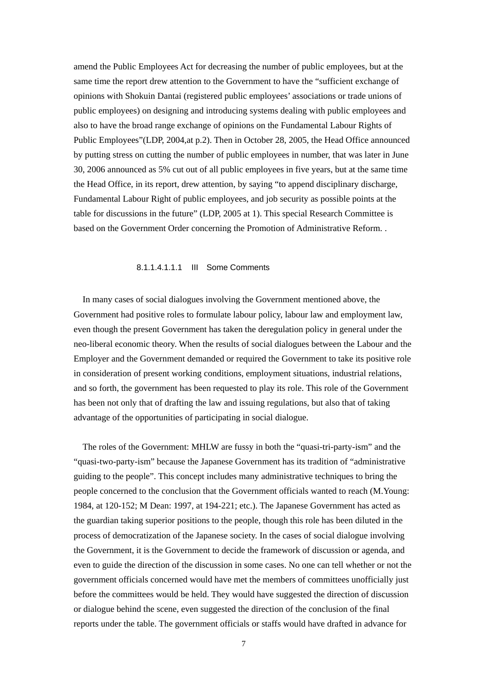amend the Public Employees Act for decreasing the number of public employees, but at the same time the report drew attention to the Government to have the "sufficient exchange of opinions with Shokuin Dantai (registered public employees' associations or trade unions of public employees) on designing and introducing systems dealing with public employees and also to have the broad range exchange of opinions on the Fundamental Labour Rights of Public Employees"(LDP, 2004,at p.2). Then in October 28, 2005, the Head Office announced by putting stress on cutting the number of public employees in number, that was later in June 30, 2006 announced as 5% cut out of all public employees in five years, but at the same time the Head Office, in its report, drew attention, by saying "to append disciplinary discharge, Fundamental Labour Right of public employees, and job security as possible points at the table for discussions in the future" (LDP, 2005 at 1). This special Research Committee is based on the Government Order concerning the Promotion of Administrative Reform. .

### 8.1.1.4.1.1.1 III Some Comments

In many cases of social dialogues involving the Government mentioned above, the Government had positive roles to formulate labour policy, labour law and employment law, even though the present Government has taken the deregulation policy in general under the neo-liberal economic theory. When the results of social dialogues between the Labour and the Employer and the Government demanded or required the Government to take its positive role in consideration of present working conditions, employment situations, industrial relations, and so forth, the government has been requested to play its role. This role of the Government has been not only that of drafting the law and issuing regulations, but also that of taking advantage of the opportunities of participating in social dialogue.

The roles of the Government: MHLW are fussy in both the "quasi-tri-party-ism" and the "quasi-two-party-ism" because the Japanese Government has its tradition of "administrative guiding to the people". This concept includes many administrative techniques to bring the people concerned to the conclusion that the Government officials wanted to reach (M.Young: 1984, at 120-152; M Dean: 1997, at 194-221; etc.). The Japanese Government has acted as the guardian taking superior positions to the people, though this role has been diluted in the process of democratization of the Japanese society. In the cases of social dialogue involving the Government, it is the Government to decide the framework of discussion or agenda, and even to guide the direction of the discussion in some cases. No one can tell whether or not the government officials concerned would have met the members of committees unofficially just before the committees would be held. They would have suggested the direction of discussion or dialogue behind the scene, even suggested the direction of the conclusion of the final reports under the table. The government officials or staffs would have drafted in advance for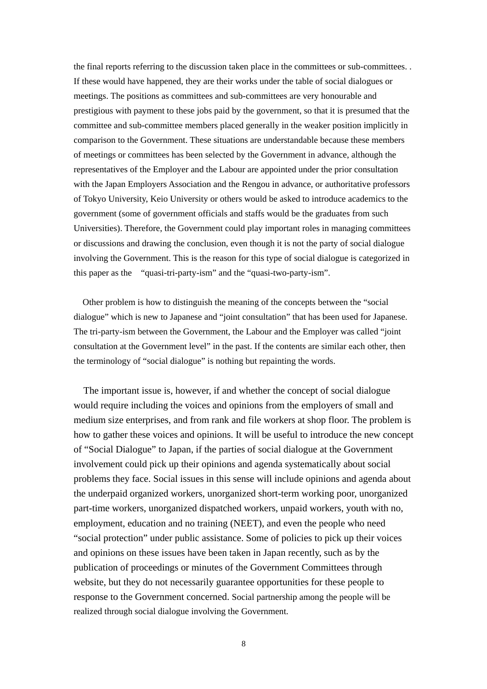the final reports referring to the discussion taken place in the committees or sub-committees. . If these would have happened, they are their works under the table of social dialogues or meetings. The positions as committees and sub-committees are very honourable and prestigious with payment to these jobs paid by the government, so that it is presumed that the committee and sub-committee members placed generally in the weaker position implicitly in comparison to the Government. These situations are understandable because these members of meetings or committees has been selected by the Government in advance, although the representatives of the Employer and the Labour are appointed under the prior consultation with the Japan Employers Association and the Rengou in advance, or authoritative professors of Tokyo University, Keio University or others would be asked to introduce academics to the government (some of government officials and staffs would be the graduates from such Universities). Therefore, the Government could play important roles in managing committees or discussions and drawing the conclusion, even though it is not the party of social dialogue involving the Government. This is the reason for this type of social dialogue is categorized in this paper as the "quasi-tri-party-ism" and the "quasi-two-party-ism".

Other problem is how to distinguish the meaning of the concepts between the "social dialogue" which is new to Japanese and "joint consultation" that has been used for Japanese. The tri-party-ism between the Government, the Labour and the Employer was called "joint consultation at the Government level" in the past. If the contents are similar each other, then the terminology of "social dialogue" is nothing but repainting the words.

The important issue is, however, if and whether the concept of social dialogue would require including the voices and opinions from the employers of small and medium size enterprises, and from rank and file workers at shop floor. The problem is how to gather these voices and opinions. It will be useful to introduce the new concept of "Social Dialogue" to Japan, if the parties of social dialogue at the Government involvement could pick up their opinions and agenda systematically about social problems they face. Social issues in this sense will include opinions and agenda about the underpaid organized workers, unorganized short-term working poor, unorganized part-time workers, unorganized dispatched workers, unpaid workers, youth with no, employment, education and no training (NEET), and even the people who need "social protection" under public assistance. Some of policies to pick up their voices and opinions on these issues have been taken in Japan recently, such as by the publication of proceedings or minutes of the Government Committees through website, but they do not necessarily guarantee opportunities for these people to response to the Government concerned. Social partnership among the people will be realized through social dialogue involving the Government.

8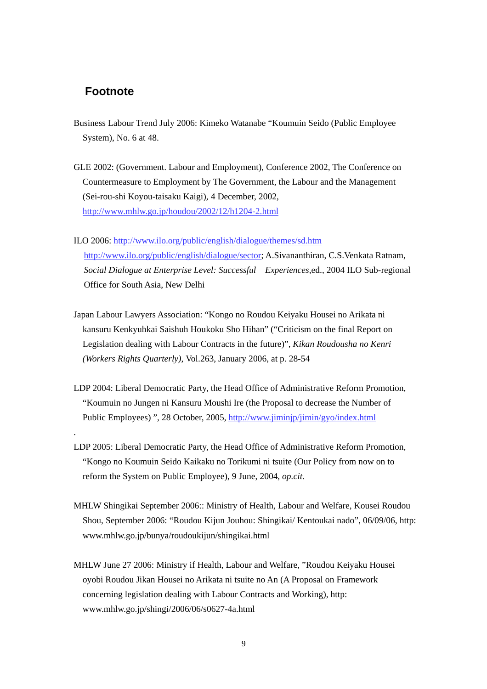## **Footnote**

.

- Business Labour Trend July 2006: Kimeko Watanabe "Koumuin Seido (Public Employee System), No. 6 at 48.
- GLE 2002: (Government. Labour and Employment), Conference 2002, The Conference on Countermeasure to Employment by The Government, the Labour and the Management (Sei-rou-shi Koyou-taisaku Kaigi), 4 December, 2002, http://www.mhlw.go.jp/houdou/2002/12/h1204-2.html
- ILO 2006: http://www.ilo.org/public/english/dialogue/themes/sd.htm http://www.ilo.org/public/english/dialogue/sector; A.Sivananthiran, C.S.Venkata Ratnam, *Social Dialogue at Enterprise Level: Successful Experiences*,ed., 2004 ILO Sub-regional Office for South Asia, New Delhi
- Japan Labour Lawyers Association: "Kongo no Roudou Keiyaku Housei no Arikata ni kansuru Kenkyuhkai Saishuh Houkoku Sho Hihan" ("Criticism on the final Report on Legislation dealing with Labour Contracts in the future)", *Kikan Roudousha no Kenri (Workers Rights Quarterly)*, Vol.263, January 2006, at p. 28-54
- LDP 2004: Liberal Democratic Party, the Head Office of Administrative Reform Promotion, "Koumuin no Jungen ni Kansuru Moushi Ire (the Proposal to decrease the Number of Public Employees) ", 28 October, 2005, http://www.jiminjp/jimin/gyo/index.html
- LDP 2005: Liberal Democratic Party, the Head Office of Administrative Reform Promotion, "Kongo no Koumuin Seido Kaikaku no Torikumi ni tsuite (Our Policy from now on to reform the System on Public Employee), 9 June, 2004*, op.cit.*
- MHLW Shingikai September 2006:: Ministry of Health, Labour and Welfare, Kousei Roudou Shou, September 2006: "Roudou Kijun Jouhou: Shingikai/ Kentoukai nado", 06/09/06, http: www.mhlw.go.jp/bunya/roudoukijun/shingikai.html
- MHLW June 27 2006: Ministry if Health, Labour and Welfare, "Roudou Keiyaku Housei oyobi Roudou Jikan Housei no Arikata ni tsuite no An (A Proposal on Framework concerning legislation dealing with Labour Contracts and Working), http: www.mhlw.go.jp/shingi/2006/06/s0627-4a.html